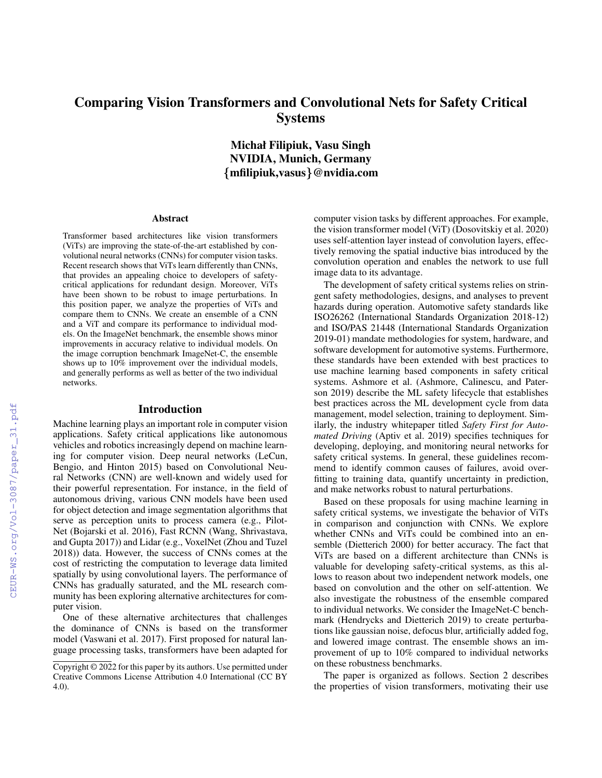# Comparing Vision Transformers and Convolutional Nets for Safety Critical Systems

Michał Filipiuk, Vasu Singh NVIDIA, Munich, Germany {mfilipiuk,vasus}@nvidia.com

#### Abstract

Transformer based architectures like vision transformers (ViTs) are improving the state-of-the-art established by convolutional neural networks (CNNs) for computer vision tasks. Recent research shows that ViTs learn differently than CNNs, that provides an appealing choice to developers of safetycritical applications for redundant design. Moreover, ViTs have been shown to be robust to image perturbations. In this position paper, we analyze the properties of ViTs and compare them to CNNs. We create an ensemble of a CNN and a ViT and compare its performance to individual models. On the ImageNet benchmark, the ensemble shows minor improvements in accuracy relative to individual models. On the image corruption benchmark ImageNet-C, the ensemble shows up to 10% improvement over the individual models, and generally performs as well as better of the two individual networks.

#### Introduction

Machine learning plays an important role in computer vision applications. Safety critical applications like autonomous vehicles and robotics increasingly depend on machine learning for computer vision. Deep neural networks (LeCun, Bengio, and Hinton 2015) based on Convolutional Neural Networks (CNN) are well-known and widely used for their powerful representation. For instance, in the field of autonomous driving, various CNN models have been used for object detection and image segmentation algorithms that serve as perception units to process camera (e.g., Pilot-Net (Bojarski et al. 2016), Fast RCNN (Wang, Shrivastava, and Gupta 2017)) and Lidar (e.g., VoxelNet (Zhou and Tuzel 2018)) data. However, the success of CNNs comes at the cost of restricting the computation to leverage data limited spatially by using convolutional layers. The performance of CNNs has gradually saturated, and the ML research community has been exploring alternative architectures for computer vision.

One of these alternative architectures that challenges the dominance of CNNs is based on the transformer model (Vaswani et al. 2017). First proposed for natural language processing tasks, transformers have been adapted for

computer vision tasks by different approaches. For example, the vision transformer model (ViT) (Dosovitskiy et al. 2020) uses self-attention layer instead of convolution layers, effectively removing the spatial inductive bias introduced by the convolution operation and enables the network to use full image data to its advantage.

The development of safety critical systems relies on stringent safety methodologies, designs, and analyses to prevent hazards during operation. Automotive safety standards like ISO26262 (International Standards Organization 2018-12) and ISO/PAS 21448 (International Standards Organization 2019-01) mandate methodologies for system, hardware, and software development for automotive systems. Furthermore, these standards have been extended with best practices to use machine learning based components in safety critical systems. Ashmore et al. (Ashmore, Calinescu, and Paterson 2019) describe the ML safety lifecycle that establishes best practices across the ML development cycle from data management, model selection, training to deployment. Similarly, the industry whitepaper titled *Safety First for Automated Driving* (Aptiv et al. 2019) specifies techniques for developing, deploying, and monitoring neural networks for safety critical systems. In general, these guidelines recommend to identify common causes of failures, avoid overfitting to training data, quantify uncertainty in prediction, and make networks robust to natural perturbations.

Based on these proposals for using machine learning in safety critical systems, we investigate the behavior of ViTs in comparison and conjunction with CNNs. We explore whether CNNs and ViTs could be combined into an ensemble (Dietterich 2000) for better accuracy. The fact that ViTs are based on a different architecture than CNNs is valuable for developing safety-critical systems, as this allows to reason about two independent network models, one based on convolution and the other on self-attention. We also investigate the robustness of the ensemble compared to individual networks. We consider the ImageNet-C benchmark (Hendrycks and Dietterich 2019) to create perturbations like gaussian noise, defocus blur, artificially added fog, and lowered image contrast. The ensemble shows an improvement of up to 10% compared to individual networks on these robustness benchmarks.

The paper is organized as follows. Section 2 describes the properties of vision transformers, motivating their use

Copyright © 2022 for this paper by its authors. Use permitted under Creative Commons License Attribution 4.0 International (CC BY 4.0).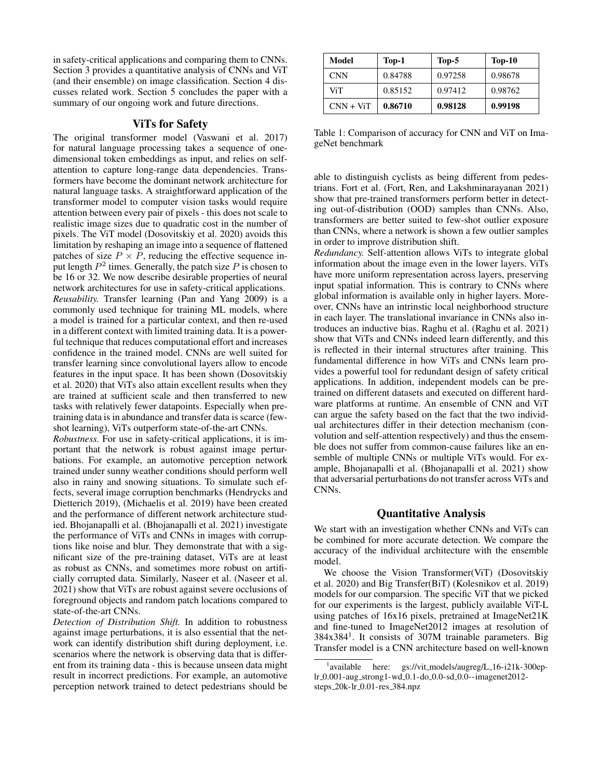in safety-critical applications and comparing them to CNNs. Section 3 provides a quantitative analysis of CNNs and ViT (and their ensemble) on image classification. Section 4 discusses related work. Section 5 concludes the paper with a summary of our ongoing work and future directions.

## ViTs for Safety

The original transformer model (Vaswani et al. 2017) for natural language processing takes a sequence of onedimensional token embeddings as input, and relies on selfattention to capture long-range data dependencies. Transformers have become the dominant network architecture for natural language tasks. A straightforward application of the transformer model to computer vision tasks would require attention between every pair of pixels - this does not scale to realistic image sizes due to quadratic cost in the number of pixels. The ViT model (Dosovitskiy et al. 2020) avoids this limitation by reshaping an image into a sequence of flattened patches of size  $P \times P$ , reducing the effective sequence input length  $P^2$  times. Generally, the patch size  $P$  is chosen to be 16 or 32. We now describe desirable properties of neural network architectures for use in safety-critical applications. *Reusability.* Transfer learning (Pan and Yang 2009) is a commonly used technique for training ML models, where a model is trained for a particular context, and then re-used in a different context with limited training data. It is a powerful technique that reduces computational effort and increases confidence in the trained model. CNNs are well suited for transfer learning since convolutional layers allow to encode features in the input space. It has been shown (Dosovitskiy et al. 2020) that ViTs also attain excellent results when they are trained at sufficient scale and then transferred to new tasks with relatively fewer datapoints. Especially when pretraining data is in abundance and transfer data is scarce (fewshot learning), ViTs outperform state-of-the-art CNNs.

*Robustness.* For use in safety-critical applications, it is important that the network is robust against image perturbations. For example, an automotive perception network trained under sunny weather conditions should perform well also in rainy and snowing situations. To simulate such effects, several image corruption benchmarks (Hendrycks and Dietterich 2019), (Michaelis et al. 2019) have been created and the performance of different network architecture studied. Bhojanapalli et al. (Bhojanapalli et al. 2021) investigate the performance of ViTs and CNNs in images with corruptions like noise and blur. They demonstrate that with a significant size of the pre-training dataset, ViTs are at least as robust as CNNs, and sometimes more robust on artificially corrupted data. Similarly, Naseer et al. (Naseer et al. 2021) show that ViTs are robust against severe occlusions of foreground objects and random patch locations compared to state-of-the-art CNNs.

*Detection of Distribution Shift.* In addition to robustness against image perturbations, it is also essential that the network can identify distribution shift during deployment, i.e. scenarios where the network is observing data that is different from its training data - this is because unseen data might result in incorrect predictions. For example, an automotive perception network trained to detect pedestrians should be

| Model       | Top-1   | $Top-5$ | $Top-10$ |
|-------------|---------|---------|----------|
| <b>CNN</b>  | 0.84788 | 0.97258 | 0.98678  |
| ViT         | 0.85152 | 0.97412 | 0.98762  |
| $CNN + ViT$ | 0.86710 | 0.98128 | 0.99198  |

Table 1: Comparison of accuracy for CNN and ViT on ImageNet benchmark

able to distinguish cyclists as being different from pedestrians. Fort et al. (Fort, Ren, and Lakshminarayanan 2021) show that pre-trained transformers perform better in detecting out-of-distribution (OOD) samples than CNNs. Also, transformers are better suited to few-shot outlier exposure than CNNs, where a network is shown a few outlier samples in order to improve distribution shift.

*Redundancy.* Self-attention allows ViTs to integrate global information about the image even in the lower layers. ViTs have more uniform representation across layers, preserving input spatial information. This is contrary to CNNs where global information is available only in higher layers. Moreover, CNNs have an intrinstic local neighborhood structure in each layer. The translational invariance in CNNs also introduces an inductive bias. Raghu et al. (Raghu et al. 2021) show that ViTs and CNNs indeed learn differently, and this is reflected in their internal structures after training. This fundamental difference in how ViTs and CNNs learn provides a powerful tool for redundant design of safety critical applications. In addition, independent models can be pretrained on different datasets and executed on different hardware platforms at runtime. An ensemble of CNN and ViT can argue the safety based on the fact that the two individual architectures differ in their detection mechanism (convolution and self-attention respectively) and thus the ensemble does not suffer from common-cause failures like an ensemble of multiple CNNs or multiple ViTs would. For example, Bhojanapalli et al. (Bhojanapalli et al. 2021) show that adversarial perturbations do not transfer across ViTs and CNNs.

### Quantitative Analysis

We start with an investigation whether CNNs and ViTs can be combined for more accurate detection. We compare the accuracy of the individual architecture with the ensemble model.

We choose the Vision Transformer(ViT) (Dosovitskiy et al. 2020) and Big Transfer(BiT) (Kolesnikov et al. 2019) models for our comparsion. The specific ViT that we picked for our experiments is the largest, publicly available ViT-L using patches of 16x16 pixels, pretrained at ImageNet21K and fine-tuned to ImageNet2012 images at resolution of 384x384<sup>1</sup> . It consists of 307M trainable parameters. Big Transfer model is a CNN architecture based on well-known

<sup>&</sup>lt;sup>1</sup> available here: gs://vit\_models/augreg/L\_16-i21k-300eplr 0.001-aug strong1-wd 0.1-do 0.0-sd 0.0--imagenet2012 steps 20k-lr 0.01-res 384.npz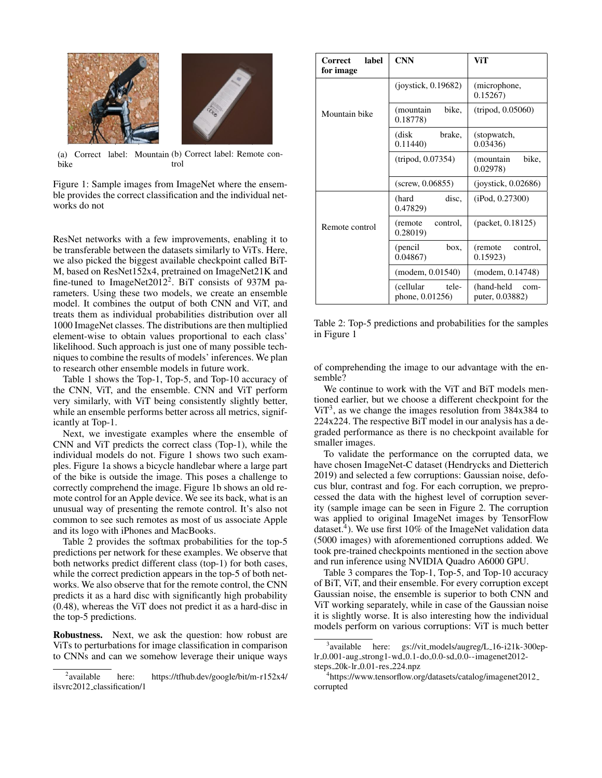

(a) Correct label: Mountain (b) Correct label: Remote conbike trol

Figure 1: Sample images from ImageNet where the ensemble provides the correct classification and the individual networks do not

ResNet networks with a few improvements, enabling it to be transferable between the datasets similarly to ViTs. Here, we also picked the biggest available checkpoint called BiT-M, based on ResNet152x4, pretrained on ImageNet21K and fine-tuned to ImageNet2012<sup>2</sup>. BiT consists of 937M parameters. Using these two models, we create an ensemble model. It combines the output of both CNN and ViT, and treats them as individual probabilities distribution over all 1000 ImageNet classes. The distributions are then multiplied element-wise to obtain values proportional to each class' likelihood. Such approach is just one of many possible techniques to combine the results of models' inferences. We plan to research other ensemble models in future work.

Table 1 shows the Top-1, Top-5, and Top-10 accuracy of the CNN, ViT, and the ensemble. CNN and ViT perform very similarly, with ViT being consistently slightly better, while an ensemble performs better across all metrics, significantly at Top-1.

Next, we investigate examples where the ensemble of CNN and ViT predicts the correct class (Top-1), while the individual models do not. Figure 1 shows two such examples. Figure 1a shows a bicycle handlebar where a large part of the bike is outside the image. This poses a challenge to correctly comprehend the image. Figure 1b shows an old remote control for an Apple device. We see its back, what is an unusual way of presenting the remote control. It's also not common to see such remotes as most of us associate Apple and its logo with iPhones and MacBooks.

Table 2 provides the softmax probabilities for the top-5 predictions per network for these examples. We observe that both networks predict different class (top-1) for both cases, while the correct prediction appears in the top-5 of both networks. We also observe that for the remote control, the CNN predicts it as a hard disc with significantly high probability (0.48), whereas the ViT does not predict it as a hard-disc in the top-5 predictions.

Robustness. Next, we ask the question: how robust are ViTs to perturbations for image classification in comparison to CNNs and can we somehow leverage their unique ways

| label<br>Correct<br>for image | <b>CNN</b>                             | ViT                                   |  |  |  |
|-------------------------------|----------------------------------------|---------------------------------------|--|--|--|
|                               | (iovstick, 0.19682)                    | (microphone,<br>0.15267               |  |  |  |
| Mountain bike                 | (mountain<br>bike,<br>0.18778)         | (tripod, 0.05060)                     |  |  |  |
|                               | brake,<br>(disk<br>0.11440             | (stopwatch,<br>0.03436                |  |  |  |
|                               | (tripod, 0.07354)                      | (mountain<br>bike,<br>0.02978         |  |  |  |
|                               | $(\text{screw}, 0.06855)$              | (iovstick, 0.02686)                   |  |  |  |
|                               | disc.<br>(hard<br>0.47829)             | (iPod, 0.27300)                       |  |  |  |
| Remote control                | (remote)<br>control.<br>0.28019        | (packet, 0.18125)                     |  |  |  |
|                               | (pencil)<br>box.<br>0.04867            | (remote)<br>control.<br>0.15923       |  |  |  |
|                               | (modem, 0.01540)                       | (modem, 0.14748)                      |  |  |  |
|                               | (cellular)<br>tele-<br>phone, 0.01256) | (hand-held<br>com-<br>puter, 0.03882) |  |  |  |

Table 2: Top-5 predictions and probabilities for the samples in Figure 1

of comprehending the image to our advantage with the ensemble?

We continue to work with the ViT and BiT models mentioned earlier, but we choose a different checkpoint for the ViT<sup>3</sup>, as we change the images resolution from  $384x384$  to 224x224. The respective BiT model in our analysis has a degraded performance as there is no checkpoint available for smaller images.

To validate the performance on the corrupted data, we have chosen ImageNet-C dataset (Hendrycks and Dietterich 2019) and selected a few corruptions: Gaussian noise, defocus blur, contrast and fog. For each corruption, we preprocessed the data with the highest level of corruption severity (sample image can be seen in Figure 2. The corruption was applied to original ImageNet images by TensorFlow dataset.<sup>4</sup>). We use first 10% of the ImageNet validation data (5000 images) with aforementioned corruptions added. We took pre-trained checkpoints mentioned in the section above and run inference using NVIDIA Quadro A6000 GPU.

Table 3 compares the Top-1, Top-5, and Top-10 accuracy of BiT, ViT, and their ensemble. For every corruption except Gaussian noise, the ensemble is superior to both CNN and ViT working separately, while in case of the Gaussian noise it is slightly worse. It is also interesting how the individual models perform on various corruptions: ViT is much better

<sup>&</sup>lt;sup>2</sup>available here: https://tfhub.dev/google/bit/m-r152x4/ ilsvrc2012 classification/1

<sup>&</sup>lt;sup>3</sup> available here: gs://vit\_models/augreg/L\_16-i21k-300eplr 0.001-aug strong1-wd 0.1-do 0.0-sd 0.0--imagenet2012 steps 20k-lr 0.01-res 224.npz

<sup>4</sup> https://www.tensorflow.org/datasets/catalog/imagenet2012 corrupted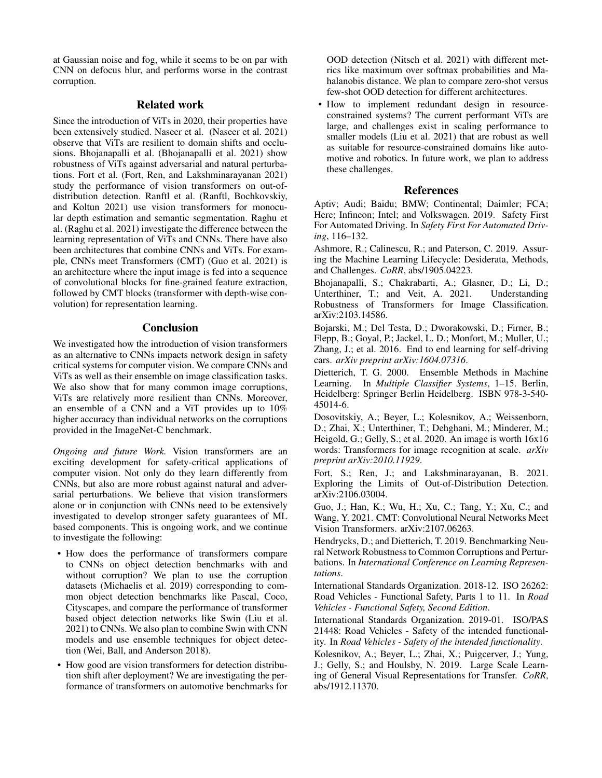at Gaussian noise and fog, while it seems to be on par with CNN on defocus blur, and performs worse in the contrast corruption.

## Related work

Since the introduction of ViTs in 2020, their properties have been extensively studied. Naseer et al. (Naseer et al. 2021) observe that ViTs are resilient to domain shifts and occlusions. Bhojanapalli et al. (Bhojanapalli et al. 2021) show robustness of ViTs against adversarial and natural perturbations. Fort et al. (Fort, Ren, and Lakshminarayanan 2021) study the performance of vision transformers on out-ofdistribution detection. Ranftl et al. (Ranftl, Bochkovskiy, and Koltun 2021) use vision transformers for monocular depth estimation and semantic segmentation. Raghu et al. (Raghu et al. 2021) investigate the difference between the learning representation of ViTs and CNNs. There have also been architectures that combine CNNs and ViTs. For example, CNNs meet Transformers (CMT) (Guo et al. 2021) is an architecture where the input image is fed into a sequence of convolutional blocks for fine-grained feature extraction, followed by CMT blocks (transformer with depth-wise convolution) for representation learning.

#### **Conclusion**

We investigated how the introduction of vision transformers as an alternative to CNNs impacts network design in safety critical systems for computer vision. We compare CNNs and ViTs as well as their ensemble on image classification tasks. We also show that for many common image corruptions, ViTs are relatively more resilient than CNNs. Moreover, an ensemble of a CNN and a ViT provides up to 10% higher accuracy than individual networks on the corruptions provided in the ImageNet-C benchmark.

*Ongoing and future Work.* Vision transformers are an exciting development for safety-critical applications of computer vision. Not only do they learn differently from CNNs, but also are more robust against natural and adversarial perturbations. We believe that vision transformers alone or in conjunction with CNNs need to be extensively investigated to develop stronger safety guarantees of ML based components. This is ongoing work, and we continue to investigate the following:

- How does the performance of transformers compare to CNNs on object detection benchmarks with and without corruption? We plan to use the corruption datasets (Michaelis et al. 2019) corresponding to common object detection benchmarks like Pascal, Coco, Cityscapes, and compare the performance of transformer based object detection networks like Swin (Liu et al. 2021) to CNNs. We also plan to combine Swin with CNN models and use ensemble techniques for object detection (Wei, Ball, and Anderson 2018).
- How good are vision transformers for detection distribution shift after deployment? We are investigating the performance of transformers on automotive benchmarks for

OOD detection (Nitsch et al. 2021) with different metrics like maximum over softmax probabilities and Mahalanobis distance. We plan to compare zero-shot versus few-shot OOD detection for different architectures.

• How to implement redundant design in resourceconstrained systems? The current performant ViTs are large, and challenges exist in scaling performance to smaller models (Liu et al. 2021) that are robust as well as suitable for resource-constrained domains like automotive and robotics. In future work, we plan to address these challenges.

#### References

Aptiv; Audi; Baidu; BMW; Continental; Daimler; FCA; Here; Infineon; Intel; and Volkswagen. 2019. Safety First For Automated Driving. In *Safety First For Automated Driving*, 116–132.

Ashmore, R.; Calinescu, R.; and Paterson, C. 2019. Assuring the Machine Learning Lifecycle: Desiderata, Methods, and Challenges. *CoRR*, abs/1905.04223.

Bhojanapalli, S.; Chakrabarti, A.; Glasner, D.; Li, D.; Unterthiner, T.; and Veit, A. 2021. Understanding Robustness of Transformers for Image Classification. arXiv:2103.14586.

Bojarski, M.; Del Testa, D.; Dworakowski, D.; Firner, B.; Flepp, B.; Goyal, P.; Jackel, L. D.; Monfort, M.; Muller, U.; Zhang, J.; et al. 2016. End to end learning for self-driving cars. *arXiv preprint arXiv:1604.07316*.

Dietterich, T. G. 2000. Ensemble Methods in Machine Learning. In *Multiple Classifier Systems*, 1–15. Berlin, Heidelberg: Springer Berlin Heidelberg. ISBN 978-3-540- 45014-6.

Dosovitskiy, A.; Beyer, L.; Kolesnikov, A.; Weissenborn, D.; Zhai, X.; Unterthiner, T.; Dehghani, M.; Minderer, M.; Heigold, G.; Gelly, S.; et al. 2020. An image is worth 16x16 words: Transformers for image recognition at scale. *arXiv preprint arXiv:2010.11929*.

Fort, S.; Ren, J.; and Lakshminarayanan, B. 2021. Exploring the Limits of Out-of-Distribution Detection. arXiv:2106.03004.

Guo, J.; Han, K.; Wu, H.; Xu, C.; Tang, Y.; Xu, C.; and Wang, Y. 2021. CMT: Convolutional Neural Networks Meet Vision Transformers. arXiv:2107.06263.

Hendrycks, D.; and Dietterich, T. 2019. Benchmarking Neural Network Robustness to Common Corruptions and Perturbations. In *International Conference on Learning Representations*.

International Standards Organization. 2018-12. ISO 26262: Road Vehicles - Functional Safety, Parts 1 to 11. In *Road Vehicles - Functional Safety, Second Edition*.

International Standards Organization. 2019-01. ISO/PAS 21448: Road Vehicles - Safety of the intended functionality. In *Road Vehicles - Safety of the intended functionality*.

Kolesnikov, A.; Beyer, L.; Zhai, X.; Puigcerver, J.; Yung, J.; Gelly, S.; and Houlsby, N. 2019. Large Scale Learning of General Visual Representations for Transfer. *CoRR*, abs/1912.11370.